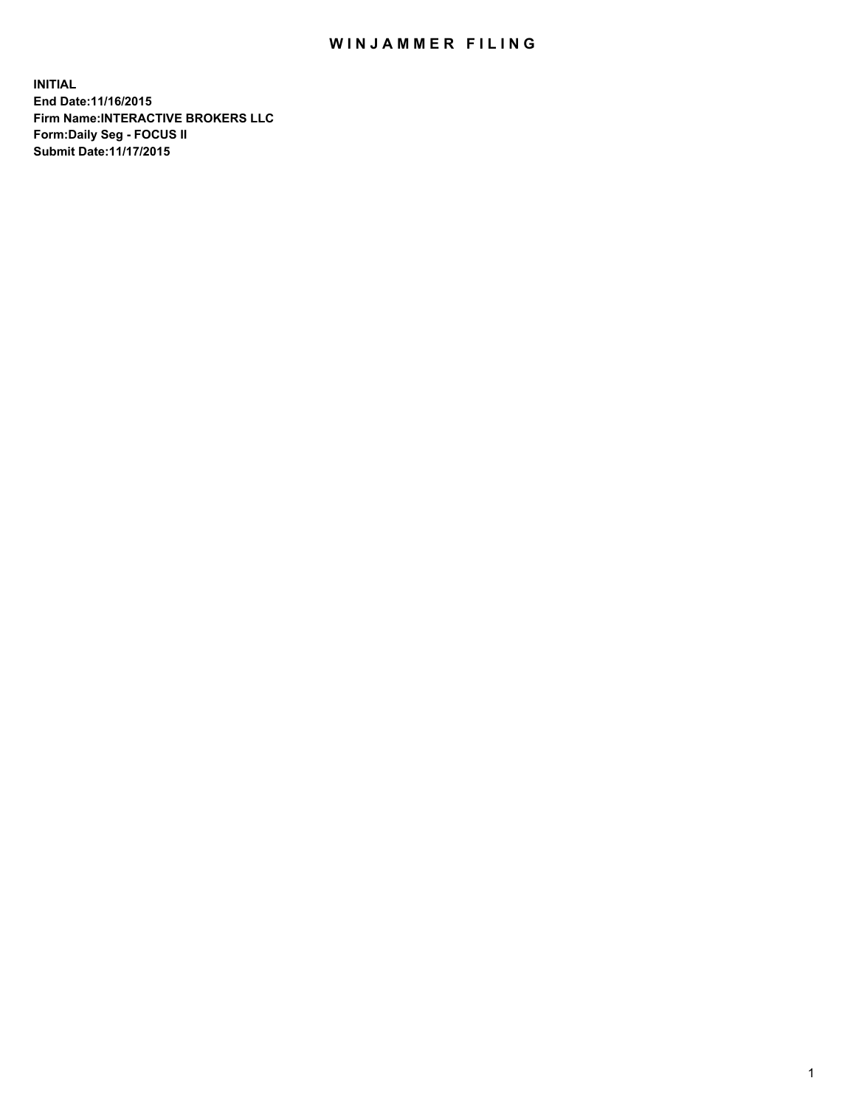## WIN JAMMER FILING

**INITIAL End Date:11/16/2015 Firm Name:INTERACTIVE BROKERS LLC Form:Daily Seg - FOCUS II Submit Date:11/17/2015**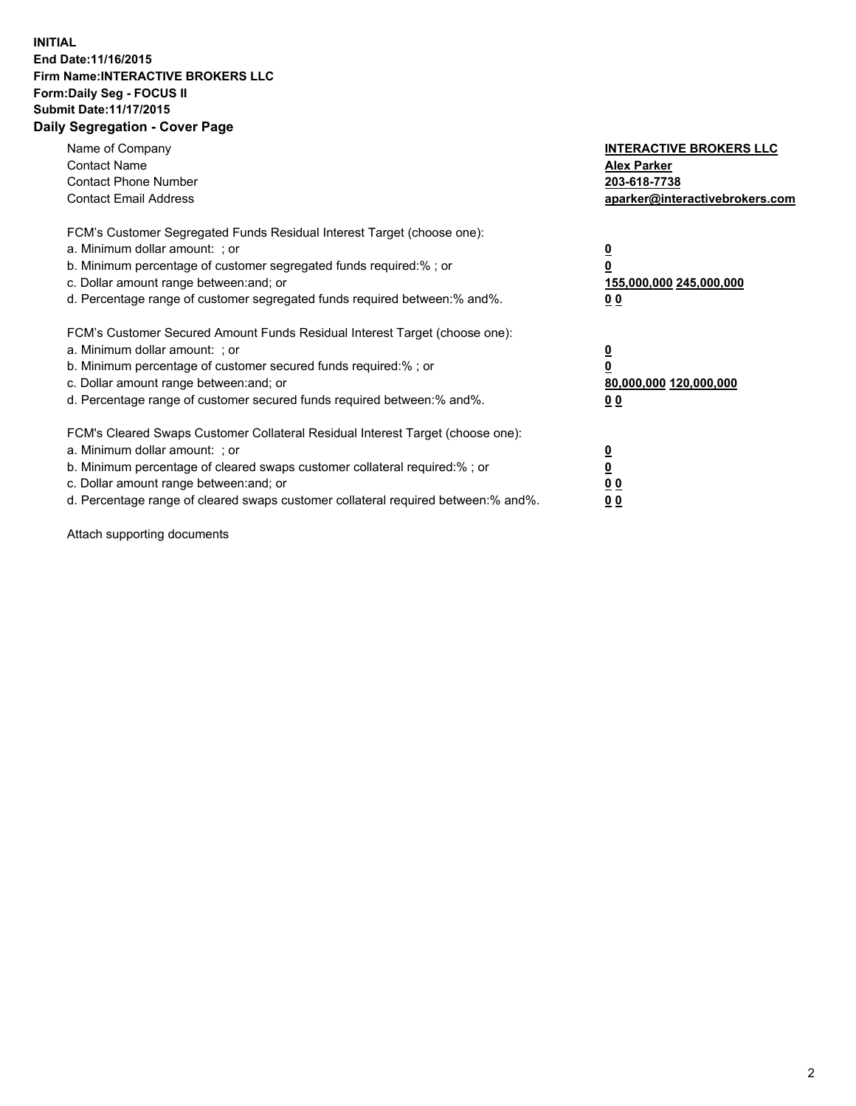## **INITIAL End Date:11/16/2015 Firm Name:INTERACTIVE BROKERS LLC Form:Daily Seg - FOCUS II Submit Date:11/17/2015 Daily Segregation - Cover Page**

| Name of Company<br><b>Contact Name</b><br><b>Contact Phone Number</b><br><b>Contact Email Address</b>                                                                                                                                                                                                                         | <b>INTERACTIVE BROKERS LLC</b><br><b>Alex Parker</b><br>203-618-7738<br>aparker@interactivebrokers.com |
|-------------------------------------------------------------------------------------------------------------------------------------------------------------------------------------------------------------------------------------------------------------------------------------------------------------------------------|--------------------------------------------------------------------------------------------------------|
| FCM's Customer Segregated Funds Residual Interest Target (choose one):<br>a. Minimum dollar amount: ; or<br>b. Minimum percentage of customer segregated funds required:% ; or<br>c. Dollar amount range between: and; or<br>d. Percentage range of customer segregated funds required between:% and%.                        | <u>0</u><br><u>155,000,000 245,000,000</u><br>00                                                       |
| FCM's Customer Secured Amount Funds Residual Interest Target (choose one):<br>a. Minimum dollar amount: ; or<br>b. Minimum percentage of customer secured funds required:% ; or<br>c. Dollar amount range between: and; or<br>d. Percentage range of customer secured funds required between: % and %.                        | $\overline{\mathbf{0}}$<br>80,000,000 120,000,000<br>00                                                |
| FCM's Cleared Swaps Customer Collateral Residual Interest Target (choose one):<br>a. Minimum dollar amount: ; or<br>b. Minimum percentage of cleared swaps customer collateral required:%; or<br>c. Dollar amount range between: and; or<br>d. Percentage range of cleared swaps customer collateral required between:% and%. | <u>0</u><br>0 <sub>0</sub><br><u>00</u>                                                                |

Attach supporting documents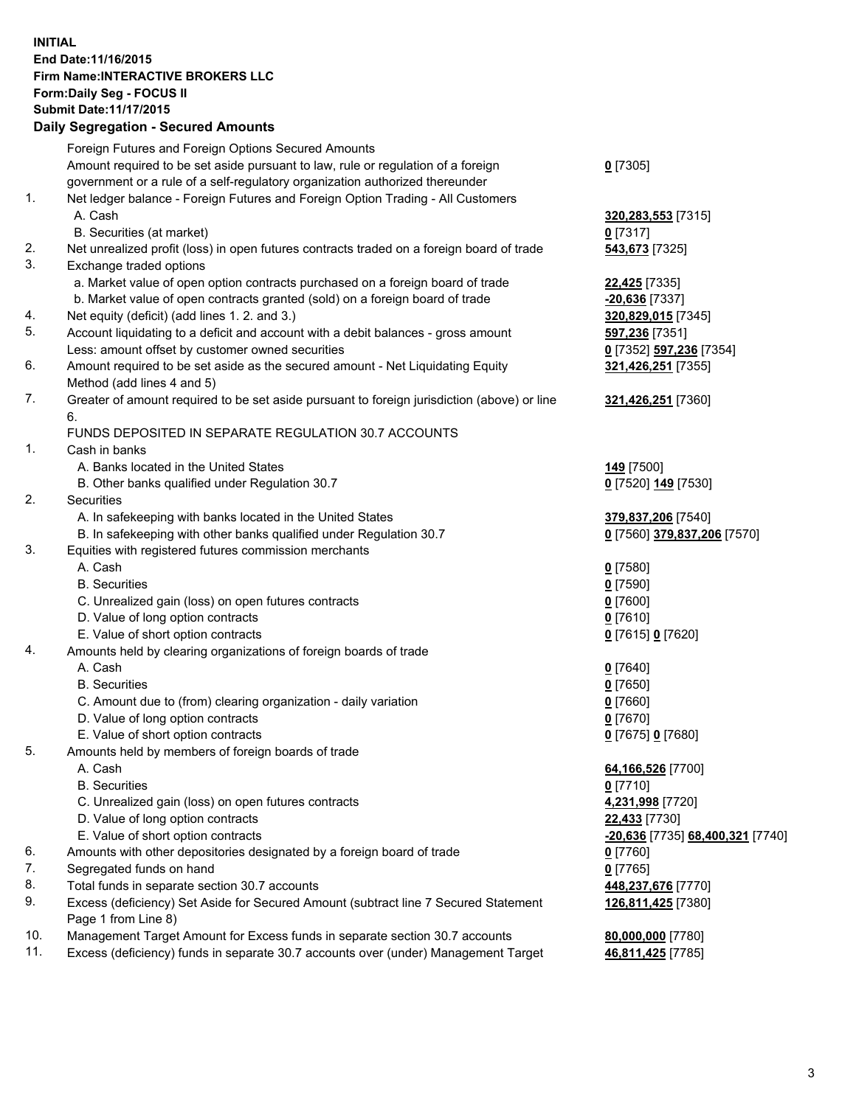## **INITIAL End Date:11/16/2015 Firm Name:INTERACTIVE BROKERS LLC Form:Daily Seg - FOCUS II Submit Date:11/17/2015 Daily Segregation - Secured Amounts**

|                | Daily Ocglegation - Occuled Amounts                                                         |                                  |
|----------------|---------------------------------------------------------------------------------------------|----------------------------------|
|                | Foreign Futures and Foreign Options Secured Amounts                                         |                                  |
|                | Amount required to be set aside pursuant to law, rule or regulation of a foreign            | $0$ [7305]                       |
|                | government or a rule of a self-regulatory organization authorized thereunder                |                                  |
| 1.             | Net ledger balance - Foreign Futures and Foreign Option Trading - All Customers             |                                  |
|                | A. Cash                                                                                     | 320, 283, 553 [7315]             |
|                | B. Securities (at market)                                                                   | $0$ [7317]                       |
| 2.             | Net unrealized profit (loss) in open futures contracts traded on a foreign board of trade   | 543,673 [7325]                   |
| 3.             | Exchange traded options                                                                     |                                  |
|                | a. Market value of open option contracts purchased on a foreign board of trade              | <b>22,425</b> [7335]             |
|                | b. Market value of open contracts granted (sold) on a foreign board of trade                | -20,636 [7337]                   |
| 4.             | Net equity (deficit) (add lines 1.2. and 3.)                                                | 320,829,015 [7345]               |
| 5.             | Account liquidating to a deficit and account with a debit balances - gross amount           | 597,236 [7351]                   |
|                | Less: amount offset by customer owned securities                                            | 0 [7352] 597,236 [7354]          |
| 6.             | Amount required to be set aside as the secured amount - Net Liquidating Equity              | 321,426,251 [7355]               |
|                | Method (add lines 4 and 5)                                                                  |                                  |
| 7.             | Greater of amount required to be set aside pursuant to foreign jurisdiction (above) or line | 321,426,251 [7360]               |
|                | 6.                                                                                          |                                  |
|                | FUNDS DEPOSITED IN SEPARATE REGULATION 30.7 ACCOUNTS                                        |                                  |
| $\mathbf{1}$ . | Cash in banks                                                                               |                                  |
|                | A. Banks located in the United States                                                       | <b>149</b> [7500]                |
|                | B. Other banks qualified under Regulation 30.7                                              | 0 [7520] 149 [7530]              |
| 2.             | Securities                                                                                  |                                  |
|                | A. In safekeeping with banks located in the United States                                   | 379,837,206 [7540]               |
|                | B. In safekeeping with other banks qualified under Regulation 30.7                          | 0 [7560] 379,837,206 [7570]      |
| 3.             | Equities with registered futures commission merchants                                       |                                  |
|                | A. Cash                                                                                     | $0$ [7580]                       |
|                | <b>B.</b> Securities                                                                        | $0$ [7590]                       |
|                | C. Unrealized gain (loss) on open futures contracts                                         | $0$ [7600]                       |
|                | D. Value of long option contracts                                                           | $0$ [7610]                       |
|                | E. Value of short option contracts                                                          | 0 [7615] 0 [7620]                |
| 4.             | Amounts held by clearing organizations of foreign boards of trade                           |                                  |
|                | A. Cash                                                                                     | $0$ [7640]                       |
|                | <b>B.</b> Securities                                                                        | $0$ [7650]                       |
|                | C. Amount due to (from) clearing organization - daily variation                             | $0$ [7660]                       |
|                | D. Value of long option contracts                                                           | $0$ [7670]                       |
|                | E. Value of short option contracts                                                          | 0 [7675] 0 [7680]                |
| 5.             | Amounts held by members of foreign boards of trade                                          |                                  |
|                | A. Cash                                                                                     | 64,166,526 [7700]                |
|                | <b>B.</b> Securities                                                                        | $0$ [7710]                       |
|                | C. Unrealized gain (loss) on open futures contracts                                         | 4,231,998 [7720]                 |
|                | D. Value of long option contracts                                                           | 22,433 [7730]                    |
|                | E. Value of short option contracts                                                          | -20,636 [7735] 68,400,321 [7740] |
| 6.             | Amounts with other depositories designated by a foreign board of trade                      | 0 [7760]                         |
| 7.             | Segregated funds on hand                                                                    | $0$ [7765]                       |
| 8.             | Total funds in separate section 30.7 accounts                                               | 448,237,676 [7770]               |
| 9.             | Excess (deficiency) Set Aside for Secured Amount (subtract line 7 Secured Statement         | 126,811,425 [7380]               |
|                | Page 1 from Line 8)                                                                         |                                  |
| 10.            | Management Target Amount for Excess funds in separate section 30.7 accounts                 | 80,000,000 [7780]                |
| 11.            | Excess (deficiency) funds in separate 30.7 accounts over (under) Management Target          | 46,811,425 [7785]                |
|                |                                                                                             |                                  |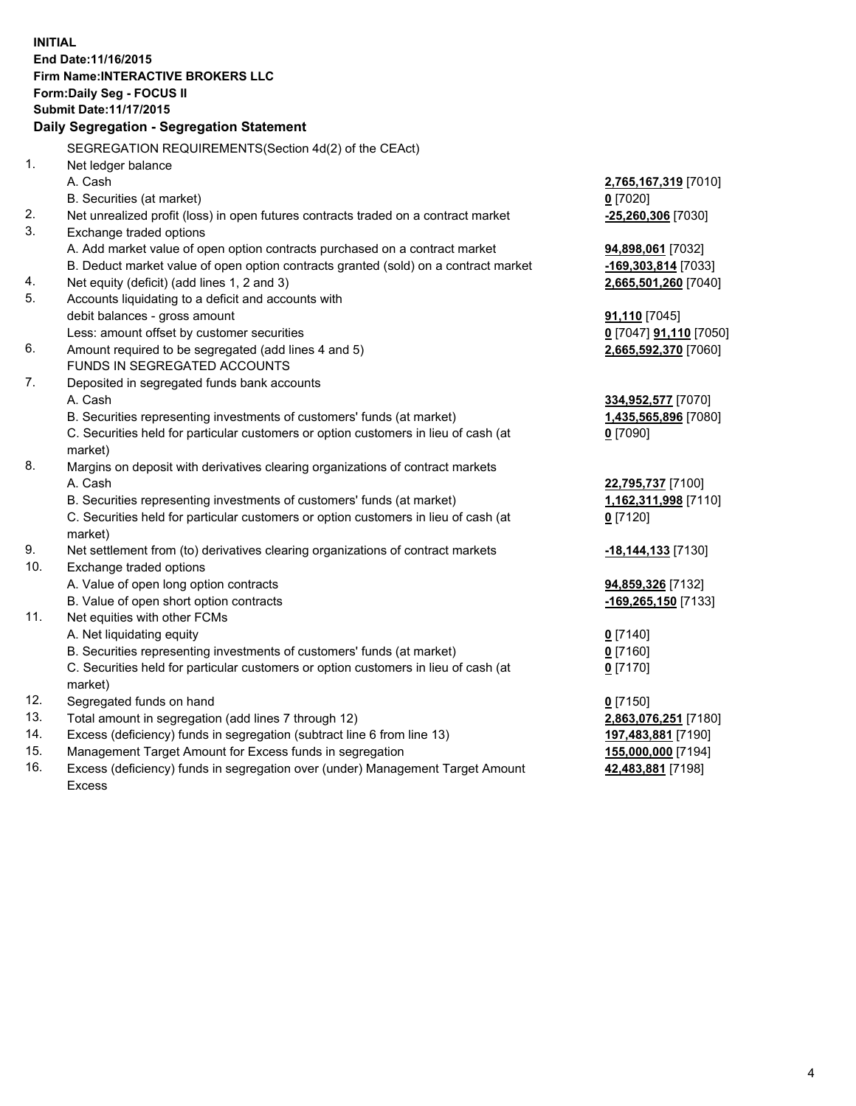**INITIAL End Date:11/16/2015 Firm Name:INTERACTIVE BROKERS LLC Form:Daily Seg - FOCUS II Submit Date:11/17/2015 Daily Segregation - Segregation Statement** SEGREGATION REQUIREMENTS(Section 4d(2) of the CEAct) 1. Net ledger balance A. Cash **2,765,167,319** [7010] B. Securities (at market) **0** [7020] 2. Net unrealized profit (loss) in open futures contracts traded on a contract market **-25,260,306** [7030] 3. Exchange traded options A. Add market value of open option contracts purchased on a contract market **94,898,061** [7032] B. Deduct market value of open option contracts granted (sold) on a contract market **-169,303,814** [7033] 4. Net equity (deficit) (add lines 1, 2 and 3) **2,665,501,260** [7040] 5. Accounts liquidating to a deficit and accounts with debit balances - gross amount **91,110** [7045] Less: amount offset by customer securities **0** [7047] **91,110** [7050] 6. Amount required to be segregated (add lines 4 and 5) **2,665,592,370** [7060] FUNDS IN SEGREGATED ACCOUNTS 7. Deposited in segregated funds bank accounts A. Cash **334,952,577** [7070] B. Securities representing investments of customers' funds (at market) **1,435,565,896** [7080] C. Securities held for particular customers or option customers in lieu of cash (at market) **0** [7090] 8. Margins on deposit with derivatives clearing organizations of contract markets A. Cash **22,795,737** [7100] B. Securities representing investments of customers' funds (at market) **1,162,311,998** [7110] C. Securities held for particular customers or option customers in lieu of cash (at market) **0** [7120] 9. Net settlement from (to) derivatives clearing organizations of contract markets **-18,144,133** [7130] 10. Exchange traded options A. Value of open long option contracts **94,859,326** [7132] B. Value of open short option contracts **-169,265,150** [7133] 11. Net equities with other FCMs A. Net liquidating equity **0** [7140] B. Securities representing investments of customers' funds (at market) **0** [7160] C. Securities held for particular customers or option customers in lieu of cash (at market) **0** [7170] 12. Segregated funds on hand **0** [7150] 13. Total amount in segregation (add lines 7 through 12) **2,863,076,251** [7180] 14. Excess (deficiency) funds in segregation (subtract line 6 from line 13) **197,483,881** [7190] 15. Management Target Amount for Excess funds in segregation **155,000,000** [7194] **42,483,881** [7198]

16. Excess (deficiency) funds in segregation over (under) Management Target Amount Excess